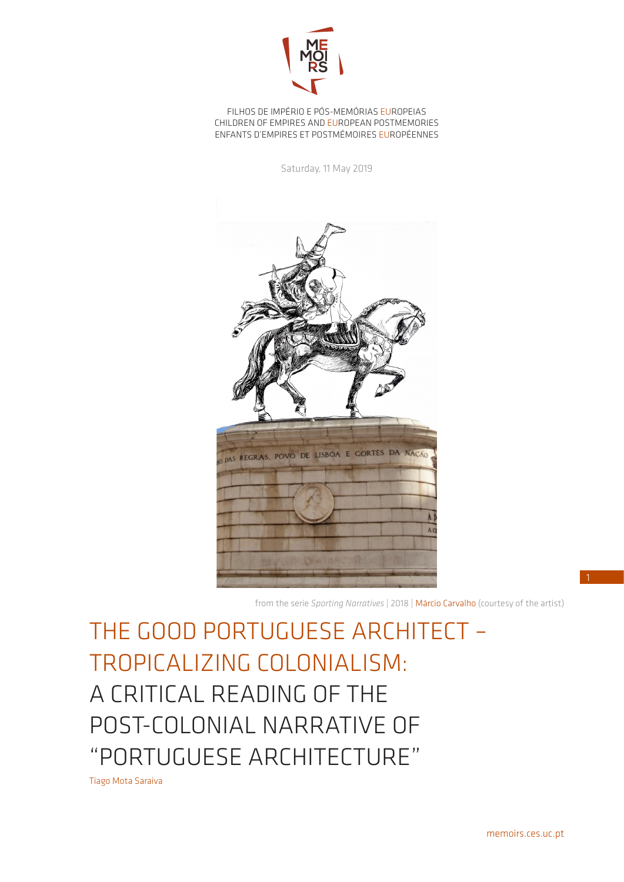

FILHOS DE IMPÉRIO E PÓS-MEMÓRIAS EUROPEIAS CHILDREN OF EMPIRES AND EUROPEAN POSTMEMORIES ENFANTS D'EMPIRES ET POSTMÉMOIRES EUROPÉENNES

Saturday, 11 May 2019



from the serie *Sporting Narratives* | 2018 | Márcio Carvalho (courtesy of the artist)

THE GOOD PORTUGUESE ARCHITECT – TROPICALIZING COLONIALISM: A CRITICAL READING OF THE POST-COLONIAL NARRATIVE OF "PORTUGUESE ARCHITECTURE"

Tiago Mota Saraiva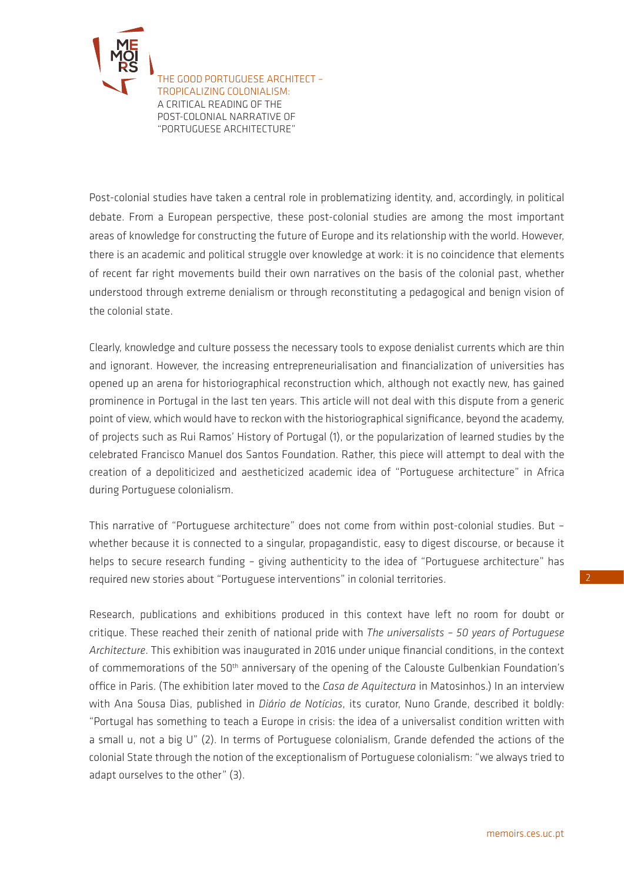

Post-colonial studies have taken a central role in problematizing identity, and, accordingly, in political debate. From a European perspective, these post-colonial studies are among the most important areas of knowledge for constructing the future of Europe and its relationship with the world. However, there is an academic and political struggle over knowledge at work: it is no coincidence that elements of recent far right movements build their own narratives on the basis of the colonial past, whether understood through extreme denialism or through reconstituting a pedagogical and benign vision of the colonial state.

Clearly, knowledge and culture possess the necessary tools to expose denialist currents which are thin and ignorant. However, the increasing entrepreneurialisation and financialization of universities has opened up an arena for historiographical reconstruction which, although not exactly new, has gained prominence in Portugal in the last ten years. This article will not deal with this dispute from a generic point of view, which would have to reckon with the historiographical significance, beyond the academy, of projects such as Rui Ramos' History of Portugal (1), or the popularization of learned studies by the celebrated Francisco Manuel dos Santos Foundation. Rather, this piece will attempt to deal with the creation of a depoliticized and aestheticized academic idea of "Portuguese architecture" in Africa during Portuguese colonialism.

This narrative of "Portuguese architecture" does not come from within post-colonial studies. But – whether because it is connected to a singular, propagandistic, easy to digest discourse, or because it helps to secure research funding - giving authenticity to the idea of "Portuguese architecture" has required new stories about "Portuguese interventions" in colonial territories.

Research, publications and exhibitions produced in this context have left no room for doubt or critique. These reached their zenith of national pride with *The universalists – 50 years of Portuguese Architecture*. This exhibition was inaugurated in 2016 under unique financial conditions, in the context of commemorations of the 50<sup>th</sup> anniversary of the opening of the Calouste Gulbenkian Foundation's office in Paris. (The exhibition later moved to the *Casa de Aquitectura* in Matosinhos.) In an interview with Ana Sousa Dias, published in *Diário de Notícias*, its curator, Nuno Grande, described it boldly: "Portugal has something to teach a Europe in crisis: the idea of a universalist condition written with a small u, not a big U" (2). In terms of Portuguese colonialism, Grande defended the actions of the colonial State through the notion of the exceptionalism of Portuguese colonialism: "we always tried to adapt ourselves to the other" (3).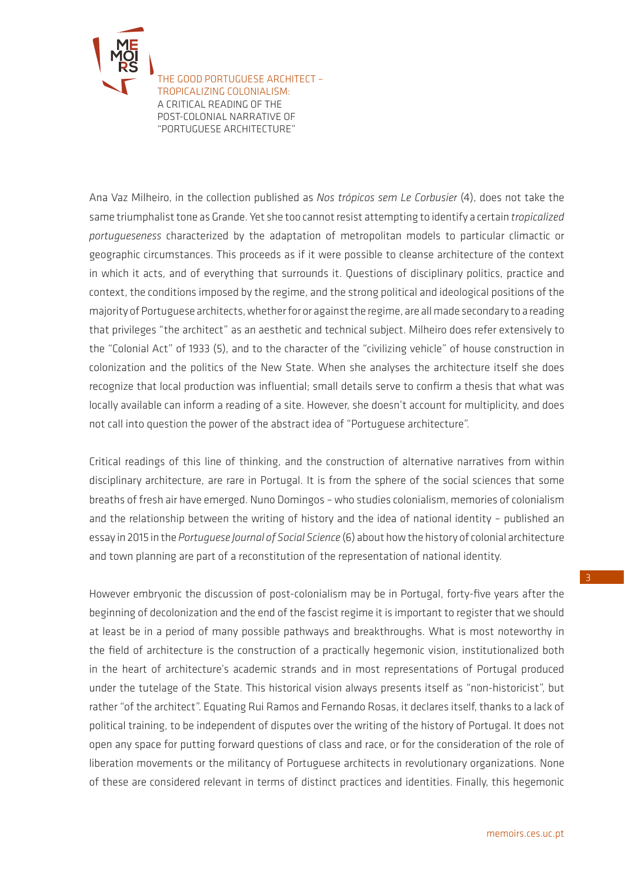

Ana Vaz Milheiro, in the collection published as *Nos trópicos sem Le Corbusier* (4), does not take the same triumphalist tone as Grande. Yet she too cannot resist attempting to identify a certain *tropicalized portugueseness* characterized by the adaptation of metropolitan models to particular climactic or geographic circumstances. This proceeds as if it were possible to cleanse architecture of the context in which it acts, and of everything that surrounds it. Questions of disciplinary politics, practice and context, the conditions imposed by the regime, and the strong political and ideological positions of the majority of Portuguese architects, whether for or against the regime, are all made secondary to a reading that privileges "the architect" as an aesthetic and technical subject. Milheiro does refer extensively to the "Colonial Act" of 1933 (5), and to the character of the "civilizing vehicle" of house construction in colonization and the politics of the New State. When she analyses the architecture itself she does recognize that local production was influential; small details serve to confirm a thesis that what was locally available can inform a reading of a site. However, she doesn't account for multiplicity, and does not call into question the power of the abstract idea of "Portuguese architecture".

Critical readings of this line of thinking, and the construction of alternative narratives from within disciplinary architecture, are rare in Portugal. It is from the sphere of the social sciences that some breaths of fresh air have emerged. Nuno Domingos – who studies colonialism, memories of colonialism and the relationship between the writing of history and the idea of national identity – published an essay in 2015 in the *Portuguese Journal of Social Science* (6) about how the history of colonial architecture and town planning are part of a reconstitution of the representation of national identity.

However embryonic the discussion of post-colonialism may be in Portugal, forty-five years after the beginning of decolonization and the end of the fascist regime it is important to register that we should at least be in a period of many possible pathways and breakthroughs. What is most noteworthy in the field of architecture is the construction of a practically hegemonic vision, institutionalized both in the heart of architecture's academic strands and in most representations of Portugal produced under the tutelage of the State. This historical vision always presents itself as "non-historicist", but rather "of the architect". Equating Rui Ramos and Fernando Rosas, it declares itself, thanks to a lack of political training, to be independent of disputes over the writing of the history of Portugal. It does not open any space for putting forward questions of class and race, or for the consideration of the role of liberation movements or the militancy of Portuguese architects in revolutionary organizations. None of these are considered relevant in terms of distinct practices and identities. Finally, this hegemonic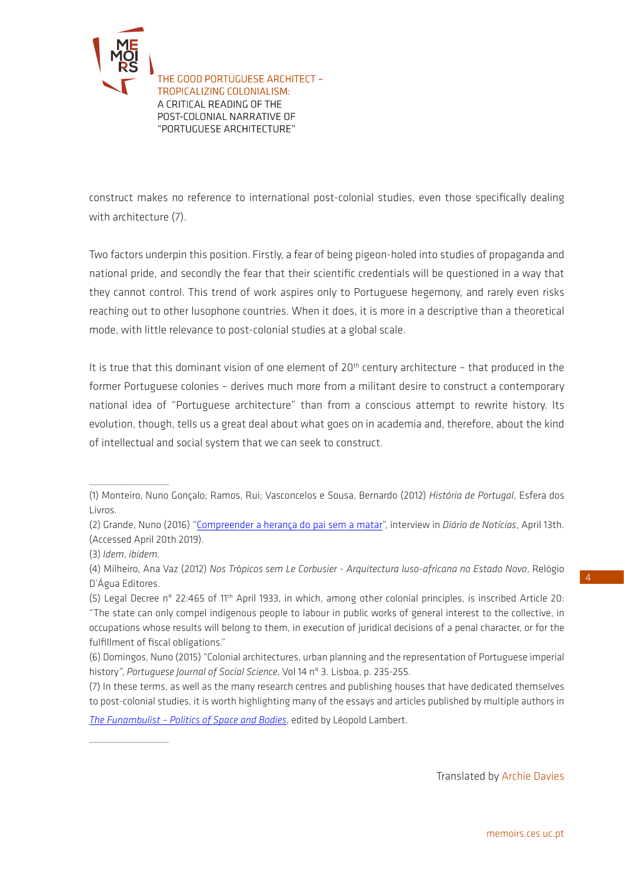

construct makes no reference to international post-colonial studies, even those specifically dealing with architecture (7).

Two factors underpin this position. Firstly, a fear of being pigeon-holed into studies of propaganda and national pride, and secondly the fear that their scientific credentials will be questioned in a way that they cannot control. This trend of work aspires only to Portuguese hegemony, and rarely even risks reaching out to other lusophone countries. When it does, it is more in a descriptive than a theoretical mode, with little relevance to post-colonial studies at a global scale.

It is true that this dominant vision of one element of  $20<sup>th</sup>$  century architecture - that produced in the former Portuguese colonies – derives much more from a militant desire to construct a contemporary national idea of "Portuguese architecture" than from a conscious attempt to rewrite history. Its evolution, though, tells us a great deal about what goes on in academia and, therefore, about the kind of intellectual and social system that we can seek to construct.

 $\frac{1}{2}$  ,  $\frac{1}{2}$  ,  $\frac{1}{2}$  ,  $\frac{1}{2}$  ,  $\frac{1}{2}$  ,  $\frac{1}{2}$  ,  $\frac{1}{2}$  ,  $\frac{1}{2}$  ,  $\frac{1}{2}$  ,  $\frac{1}{2}$ 

 $\frac{1}{2}$  , where  $\frac{1}{2}$ 

*[The Funambulist – Politics of Space and Bodies](https://thefunambulist.net/)*, edited by Léopold Lambert.

Translated by Archie Davies

4

<sup>(1)</sup> Monteiro, Nuno Gonçalo; Ramos, Rui; Vasconcelos e Sousa, Bernardo (2012) *História de Portugal*, Esfera dos Livros.

<sup>(2)</sup> Grande, Nuno (2016) "[Compreender a herança do pai sem a matar"](https://www.dn.pt/artes/interior/compreender-a-heranca-do-pai-sem-a-matar-5123178.html), interview in *Diário de Notícias*, April 13th. (Accessed April 20th 2019).

<sup>(3)</sup> *Idem*, *ibidem.*

<sup>(4)</sup> Milheiro, Ana Vaz (2012) *Nos Tr*ó*picos sem Le Corbusier - Arquitectura luso-africana no Estado Novo*, Relógio D'Água Editores.

<sup>(5)</sup> Legal Decree nº 22:465 of 11th April 1933, in which, among other colonial principles, is inscribed Article 20: "The state can only compel indigenous people to labour in public works of general interest to the collective, in occupations whose results will belong to them, in execution of juridical decisions of a penal character, or for the fulfillment of fiscal obligations."

<sup>(6)</sup> Domingos, Nuno (2015) "Colonial architectures, urban planning and the representation of Portuguese imperial history", *Portuguese Journal of Social Science*, Vol 14 nº 3. Lisboa, p. 235-255.

<sup>(7)</sup> In these terms, as well as the many research centres and publishing houses that have dedicated themselves to post-colonial studies, it is worth highlighting many of the essays and articles published by multiple authors in